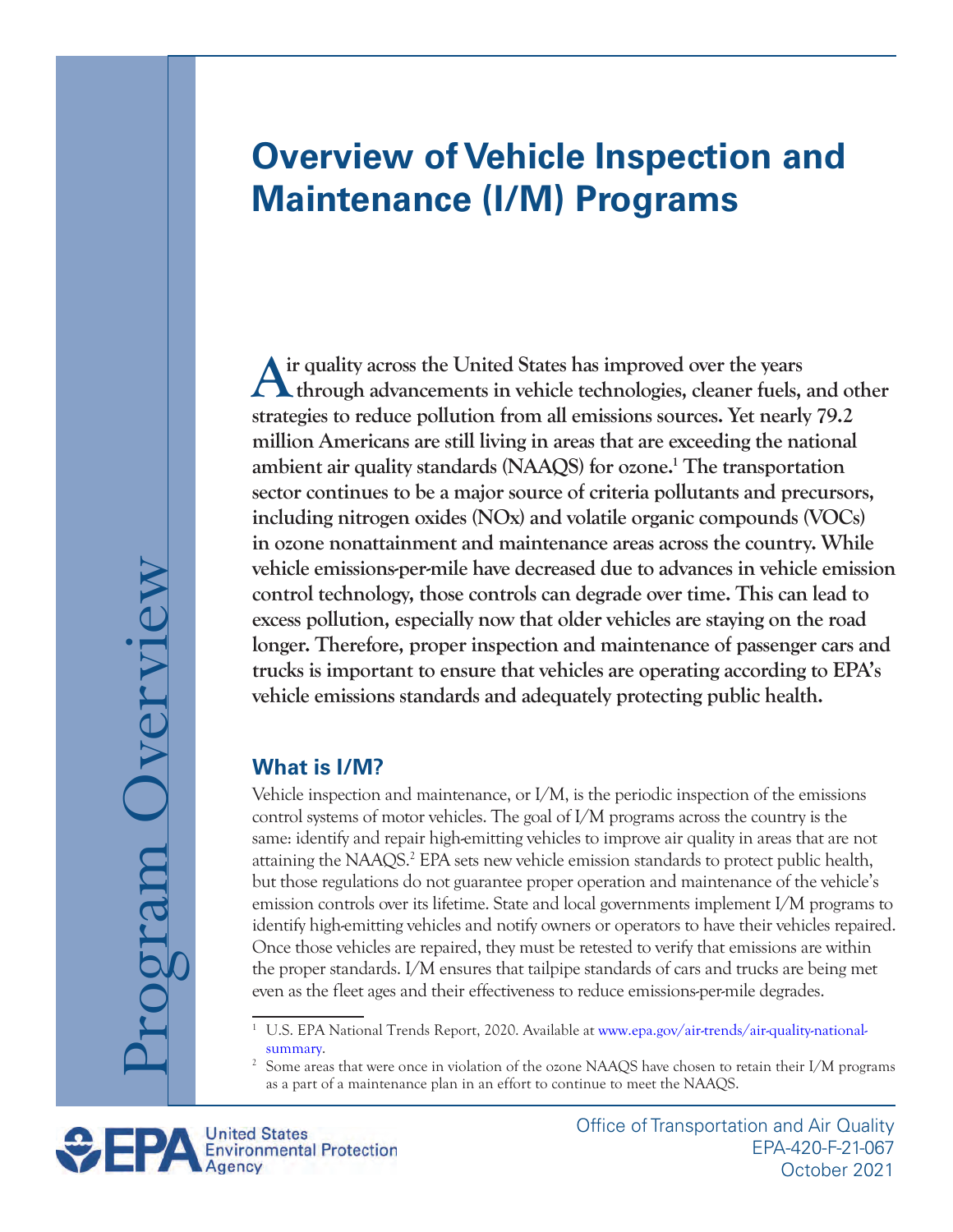# **Overview of Vehicle Inspection and Maintenance (I/M) Programs**

Air quality across the United States has improved over the years<br>
through advancements in vehicle technologies, cleaner fuels, and other **strategies to reduce pollution from all emissions sources. Yet nearly 79.2 million Americans are still living in areas that are exceeding the national ambient air quality standards (NAAQS) for ozone.1 The transportation sector continues to be a major source of criteria pollutants and precursors, including nitrogen oxides (NOx) and volatile organic compounds (VOCs) in ozone nonattainment and maintenance areas across the country. While vehicle emissions-per-mile have decreased due to advances in vehicle emission control technology, those controls can degrade over time. This can lead to excess pollution, especially now that older vehicles are staying on the road longer. Therefore, proper inspection and maintenance of passenger cars and trucks is important to ensure that vehicles are operating according to EPA's vehicle emissions standards and adequately protecting public health.** 

#### **What is I/M?**

Vehicle inspection and maintenance, or I/M, is the periodic inspection of the emissions control systems of motor vehicles. The goal of I/M programs across the country is the same: identify and repair high-emitting vehicles to improve air quality in areas that are not attaining the NAAQS.<sup>2</sup> EPA sets new vehicle emission standards to protect public health, but those regulations do not guarantee proper operation and maintenance of the vehicle's emission controls over its lifetime. State and local governments implement I/M programs to identify high-emitting vehicles and notify owners or operators to have their vehicles repaired. Once those vehicles are repaired, they must be retested to verify that emissions are within the proper standards. I/M ensures that tailpipe standards of cars and trucks are being met even as the fleet ages and their effectiveness to reduce emissions-per-mile degrades.

<sup>&</sup>lt;sup>2</sup> Some areas that were once in violation of the ozone NAAQS have chosen to retain their I/M programs as a part of a maintenance plan in an effort to continue to meet the NAAQS.



<sup>1</sup> [U.S. EPA National Trends Report, 2020. Available at www.epa.gov/air-trends/air-quality-national](https://www.epa.gov/air-trends/air-quality-national-summary)summary.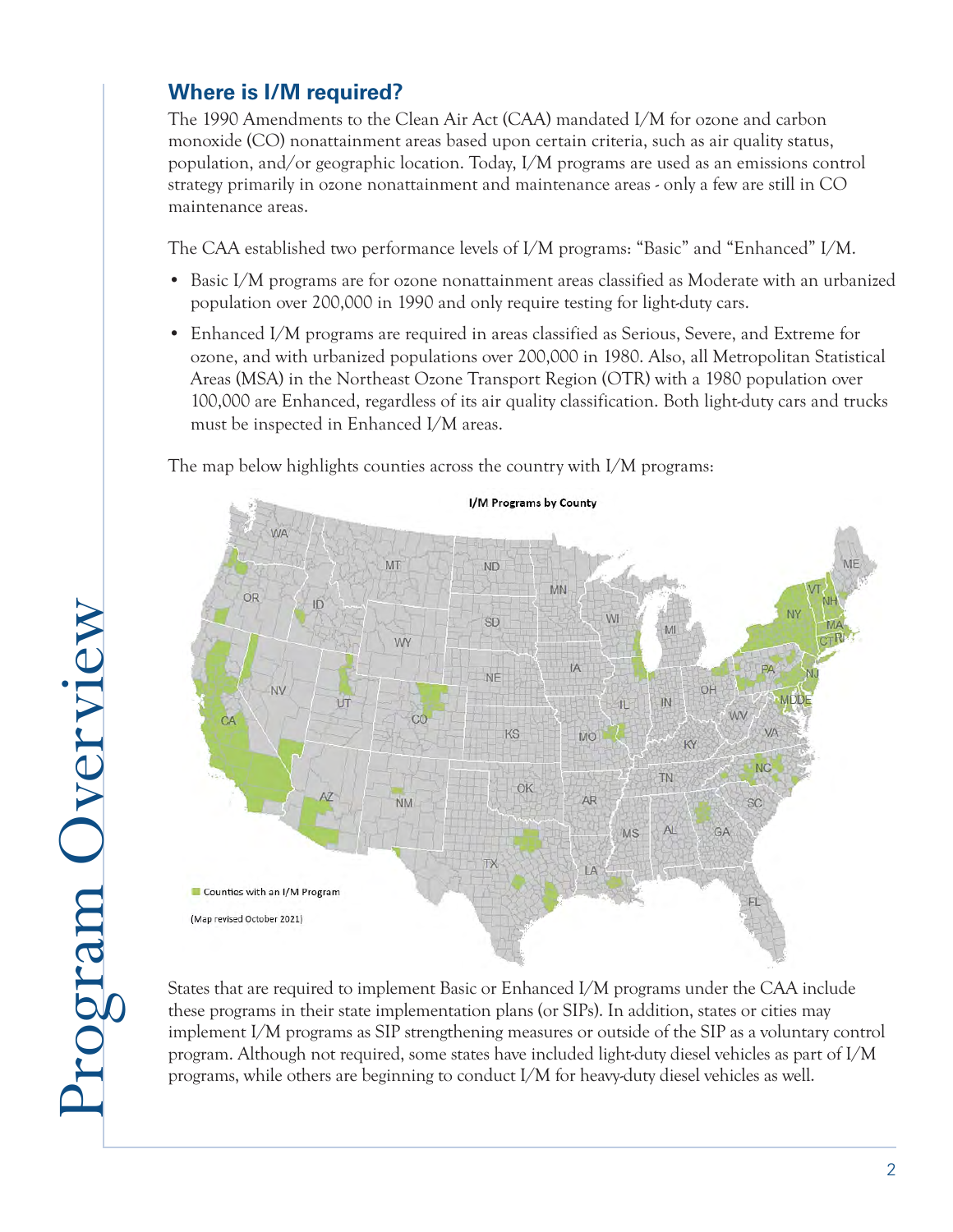## **Where is I/M required?**

The 1990 Amendments to the Clean Air Act (CAA) mandated I/M for ozone and carbon monoxide (CO) nonattainment areas based upon certain criteria, such as air quality status, population, and/or geographic location. Today, I/M programs are used as an emissions control strategy primarily in ozone nonattainment and maintenance areas - only a few are still in CO maintenance areas.

The CAA established two performance levels of I/M programs: "Basic" and "Enhanced" I/M.

- Basic I/M programs are for ozone nonattainment areas classified as Moderate with an urbanized population over 200,000 in 1990 and only require testing for light-duty cars.
- Enhanced I/M programs are required in areas classified as Serious, Severe, and Extreme for ozone, and with urbanized populations over 200,000 in 1980. Also, all Metropolitan Statistical Areas (MSA) in the Northeast Ozone Transport Region (OTR) with a 1980 population over 100,000 are Enhanced, regardless of its air quality classification. Both light-duty cars and trucks must be inspected in Enhanced I/M areas.

The map below highlights counties across the country with I/M programs:



States that are required to implement Basic or Enhanced I/M programs under the CAA include these programs in their state implementation plans (or SIPs). In addition, states or cities may implement I/M programs as SIP strengthening measures or outside of the SIP as a voluntary control program. Although not required, some states have included light-duty diesel vehicles as part of I/M programs, while others are beginning to conduct I/M for heavy-duty diesel vehicles as well.